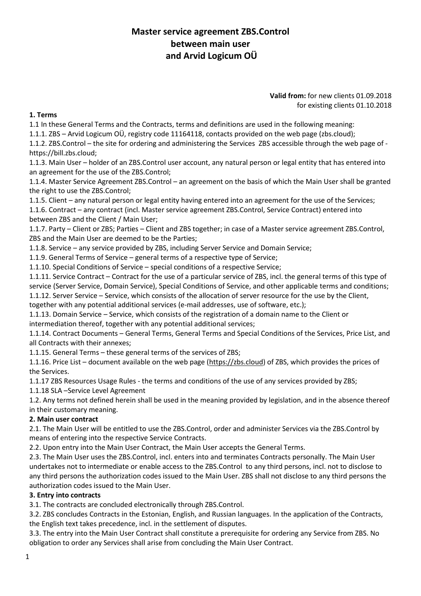# **Master service agreement ZBS.Control between main user and Arvid Logicum OÜ**

#### **Valid from:** for new clients 01.09.2018 for existing clients 01.10.2018

## **1. Terms**

1.1 In these General Terms and the Contracts, terms and definitions are used in the following meaning:

1.1.1. ZBS – Arvid Logicum OÜ, registry code 11164118, contacts provided on the web page (zbs.cloud);

1.1.2. ZBS.Control – the site for ordering and administering the Services ZBS accessible through the web page of https://bill.zbs.cloud;

1.1.3. Main User – holder of an ZBS.Control user account, any natural person or legal entity that has entered into an agreement for the use of the ZBS.Control;

1.1.4. Master Service Agreement ZBS.Control – an agreement on the basis of which the Main User shall be granted the right to use the ZBS.Control;

1.1.5. Client – any natural person or legal entity having entered into an agreement for the use of the Services;

1.1.6. Contract – any contract (incl. Master service agreement ZBS.Control, Service Contract) entered into between ZBS and the Client / Main User;

1.1.7. Party – Client or ZBS; Parties – Client and ZBS together; in case of a Master service agreement ZBS.Control, ZBS and the Main User are deemed to be the Parties;

1.1.8. Service – any service provided by ZBS, including Server Service and Domain Service;

1.1.9. General Terms of Service – general terms of a respective type of Service;

1.1.10. Special Conditions of Service – special conditions of a respective Service;

1.1.11. Service Contract – Contract for the use of a particular service of ZBS, incl. the general terms of this type of service (Server Service, Domain Service), Special Conditions of Service, and other applicable terms and conditions; 1.1.12. Server Service – Service, which consists of the allocation of server resource for the use by the Client,

together with any potential additional services (e-mail addresses, use of software, etc.);

1.1.13. Domain Service – Service, which consists of the registration of a domain name to the Client or intermediation thereof, together with any potential additional services;

1.1.14. Contract Documents – General Terms, General Terms and Special Conditions of the Services, Price List, and all Contracts with their annexes;

1.1.15. General Terms – these general terms of the services of ZBS;

1.1.16. Price List – document available on the web page [\(https://zbs.cloud\)](https://zbs.cloud/) of ZBS, which provides the prices of the Services.

1.1.17 ZBS Resources Usage Rules - the terms and conditions of the use of any services provided by ZBS;

1.1.18 SLA –Service Level Agreement

1.2. Any terms not defined herein shall be used in the meaning provided by legislation, and in the absence thereof in their customary meaning.

## **2. Main user contract**

2.1. The Main User will be entitled to use the ZBS.Control, order and administer Services via the ZBS.Control by means of entering into the respective Service Contracts.

2.2. Upon entry into the Main User Contract, the Main User accepts the General Terms.

2.3. The Main User uses the ZBS.Control, incl. enters into and terminates Contracts personally. The Main User undertakes not to intermediate or enable access to the ZBS.Control to any third persons, incl. not to disclose to any third persons the authorization codes issued to the Main User. ZBS shall not disclose to any third persons the authorization codes issued to the Main User.

## **3. Entry into contracts**

3.1. The contracts are concluded electronically through ZBS.Control.

3.2. ZBS concludes Contracts in the Estonian, English, and Russian languages. In the application of the Contracts, the English text takes precedence, incl. in the settlement of disputes.

3.3. The entry into the Main User Contract shall constitute a prerequisite for ordering any Service from ZBS. No obligation to order any Services shall arise from concluding the Main User Contract.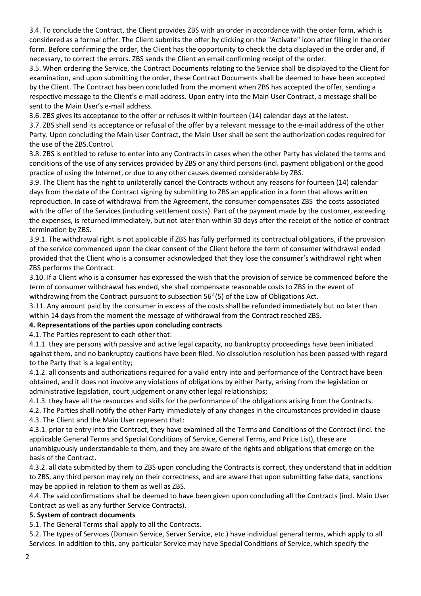3.4. To conclude the Contract, the Client provides ZBS with an order in accordance with the order form, which is considered as a formal offer. The Client submits the offer by clicking on the "Activate" icon after filling in the order form. Before confirming the order, the Client has the opportunity to check the data displayed in the order and, if necessary, to correct the errors. ZBS sends the Client an email confirming receipt of the order.

3.5. When ordering the Service, the Contract Documents relating to the Service shall be displayed to the Client for examination, and upon submitting the order, these Contract Documents shall be deemed to have been accepted by the Client. The Contract has been concluded from the moment when ZBS has accepted the offer, sending a respective message to the Client's e-mail address. Upon entry into the Main User Contract, a message shall be sent to the Main User's e-mail address.

3.6. ZBS gives its acceptance to the offer or refuses it within fourteen (14) calendar days at the latest.

3.7. ZBS shall send its acceptance or refusal of the offer by a relevant message to the e-mail address of the other Party. Upon concluding the Main User Contract, the Main User shall be sent the authorization codes required for the use of the ZBS.Control.

3.8. ZBS is entitled to refuse to enter into any Contracts in cases when the other Party has violated the terms and conditions of the use of any services provided by ZBS or any third persons (incl. payment obligation) or the good practice of using the Internet, or due to any other causes deemed considerable by ZBS.

3.9. The Client has the right to unilaterally cancel the Contracts without any reasons for fourteen (14) calendar days from the date of the Contract signing by submitting to ZBS an application in a form that allows written reproduction. In case of withdrawal from the Agreement, the consumer compensates ZBS the costs associated with the offer of the Services (including settlement costs). Part of the payment made by the customer, exceeding the expenses, is returned immediately, but not later than within 30 days after the receipt of the notice of contract termination by ZBS.

3.9.1. The withdrawal right is not applicable if ZBS has fully performed its contractual obligations, if the provision of the service commenced upon the clear consent of the Client before the term of consumer withdrawal ended provided that the Client who is a consumer acknowledged that they lose the consumer's withdrawal right when ZBS performs the Contract.

3.10. If a Client who is a consumer has expressed the wish that the provision of service be commenced before the term of consumer withdrawal has ended, she shall compensate reasonable costs to ZBS in the event of withdrawing from the Contract pursuant to subsection  $56<sup>2</sup>(5)$  of the Law of Obligations Act.

3.11. Any amount paid by the consumer in excess of the costs shall be refunded immediately but no later than within 14 days from the moment the message of withdrawal from the Contract reached ZBS.

## **4. Representations of the parties upon concluding contracts**

4.1. The Parties represent to each other that:

4.1.1. they are persons with passive and active legal capacity, no bankruptcy proceedings have been initiated against them, and no bankruptcy cautions have been filed. No dissolution resolution has been passed with regard to the Party that is a legal entity;

4.1.2. all consents and authorizations required for a valid entry into and performance of the Contract have been obtained, and it does not involve any violations of obligations by either Party, arising from the legislation or administrative legislation, court judgement or any other legal relationships;

4.1.3. they have all the resources and skills for the performance of the obligations arising from the Contracts.

4.2. The Parties shall notify the other Party immediately of any changes in the circumstances provided in clause 4.3. The Client and the Main User represent that:

4.3.1. prior to entry into the Contract, they have examined all the Terms and Conditions of the Contract (incl. the applicable General Terms and Special Conditions of Service, General Terms, and Price List), these are unambiguously understandable to them, and they are aware of the rights and obligations that emerge on the basis of the Contract.

4.3.2. all data submitted by them to ZBS upon concluding the Contracts is correct, they understand that in addition to ZBS, any third person may rely on their correctness, and are aware that upon submitting false data, sanctions may be applied in relation to them as well as ZBS.

4.4. The said confirmations shall be deemed to have been given upon concluding all the Contracts (incl. Main User Contract as well as any further Service Contracts).

## **5. System of contract documents**

5.1. The General Terms shall apply to all the Contracts.

5.2. The types of Services (Domain Service, Server Service, etc.) have individual general terms, which apply to all Services. In addition to this, any particular Service may have Special Conditions of Service, which specify the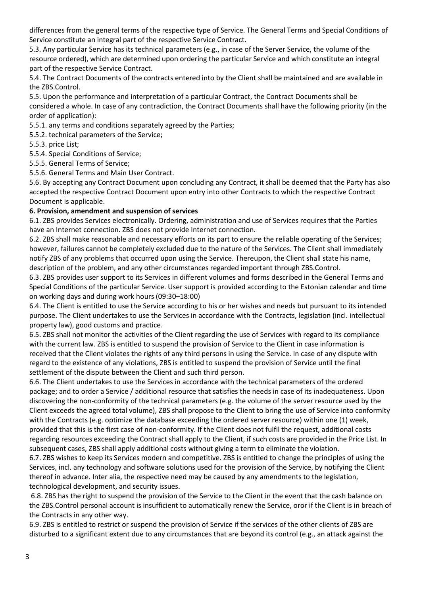differences from the general terms of the respective type of Service. The General Terms and Special Conditions of Service constitute an integral part of the respective Service Contract.

5.3. Any particular Service has its technical parameters (e.g., in case of the Server Service, the volume of the resource ordered), which are determined upon ordering the particular Service and which constitute an integral part of the respective Service Contract.

5.4. The Contract Documents of the contracts entered into by the Client shall be maintained and are available in the ZBS.Control.

5.5. Upon the performance and interpretation of a particular Contract, the Contract Documents shall be considered a whole. In case of any contradiction, the Contract Documents shall have the following priority (in the order of application):

5.5.1. any terms and conditions separately agreed by the Parties;

5.5.2. technical parameters of the Service;

5.5.3. price List;

5.5.4. Special Conditions of Service;

5.5.5. General Terms of Service;

5.5.6. General Terms and Main User Contract.

5.6. By accepting any Contract Document upon concluding any Contract, it shall be deemed that the Party has also accepted the respective Contract Document upon entry into other Contracts to which the respective Contract Document is applicable.

## **6. Provision, amendment and suspension of services**

6.1. ZBS provides Services electronically. Ordering, administration and use of Services requires that the Parties have an Internet connection. ZBS does not provide Internet connection.

6.2. ZBS shall make reasonable and necessary efforts on its part to ensure the reliable operating of the Services; however, failures cannot be completely excluded due to the nature of the Services. The Client shall immediately notify ZBS of any problems that occurred upon using the Service. Thereupon, the Client shall state his name, description of the problem, and any other circumstances regarded important through ZBS.Control.

6.3. ZBS provides user support to its Services in different volumes and forms described in the General Terms and Special Conditions of the particular Service. User support is provided according to the Estonian calendar and time on working days and during work hours (09:30–18:00)

6.4. The Client is entitled to use the Service according to his or her wishes and needs but pursuant to its intended purpose. The Client undertakes to use the Services in accordance with the Contracts, legislation (incl. intellectual property law), good customs and practice.

6.5. ZBS shall not monitor the activities of the Client regarding the use of Services with regard to its compliance with the current law. ZBS is entitled to suspend the provision of Service to the Client in case information is received that the Client violates the rights of any third persons in using the Service. In case of any dispute with regard to the existence of any violations, ZBS is entitled to suspend the provision of Service until the final settlement of the dispute between the Client and such third person.

6.6. The Client undertakes to use the Services in accordance with the technical parameters of the ordered package; and to order a Service / additional resource that satisfies the needs in case of its inadequateness. Upon discovering the non-conformity of the technical parameters (e.g. the volume of the server resource used by the Client exceeds the agreed total volume), ZBS shall propose to the Client to bring the use of Service into conformity with the Contracts (e.g. optimize the database exceeding the ordered server resource) within one (1) week, provided that this is the first case of non-conformity. If the Client does not fulfil the request, additional costs regarding resources exceeding the Contract shall apply to the Client, if such costs are provided in the Price List. In subsequent cases, ZBS shall apply additional costs without giving a term to eliminate the violation.

6.7. ZBS wishes to keep its Services modern and competitive. ZBS is entitled to change the principles of using the Services, incl. any technology and software solutions used for the provision of the Service, by notifying the Client thereof in advance. Inter alia, the respective need may be caused by any amendments to the legislation, technological development, and security issues.

6.8. ZBS has the right to suspend the provision of the Service to the Client in the event that the cash balance on the ZBS.Control personal account is insufficient to automatically renew the Service, oror if the Client is in breach of the Contracts in any other way.

6.9. ZBS is entitled to restrict or suspend the provision of Service if the services of the other clients of ZBS are disturbed to a significant extent due to any circumstances that are beyond its control (e.g., an attack against the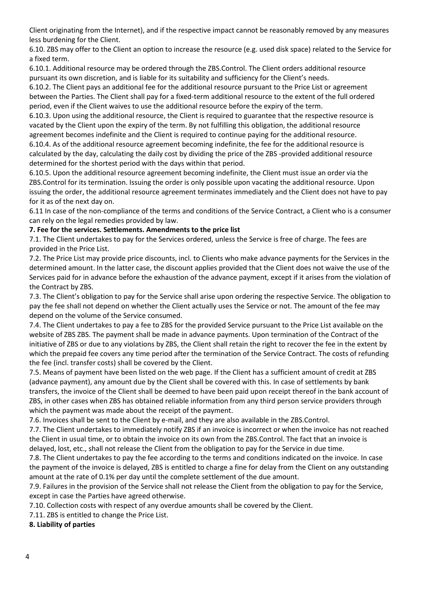Client originating from the Internet), and if the respective impact cannot be reasonably removed by any measures less burdening for the Client.

6.10. ZBS may offer to the Client an option to increase the resource (e.g. used disk space) related to the Service for a fixed term.

6.10.1. Additional resource may be ordered through the ZBS.Control. The Client orders additional resource pursuant its own discretion, and is liable for its suitability and sufficiency for the Client's needs.

6.10.2. The Client pays an additional fee for the additional resource pursuant to the Price List or agreement between the Parties. The Client shall pay for a fixed-term additional resource to the extent of the full ordered period, even if the Client waives to use the additional resource before the expiry of the term.

6.10.3. Upon using the additional resource, the Client is required to guarantee that the respective resource is vacated by the Client upon the expiry of the term. By not fulfilling this obligation, the additional resource agreement becomes indefinite and the Client is required to continue paying for the additional resource.

6.10.4. As of the additional resource agreement becoming indefinite, the fee for the additional resource is calculated by the day, calculating the daily cost by dividing the price of the ZBS -provided additional resource determined for the shortest period with the days within that period.

6.10.5. Upon the additional resource agreement becoming indefinite, the Client must issue an order via the ZBS.Control for its termination. Issuing the order is only possible upon vacating the additional resource. Upon issuing the order, the additional resource agreement terminates immediately and the Client does not have to pay for it as of the next day on.

6.11 In case of the non-compliance of the terms and conditions of the Service Contract, a Client who is a consumer can rely on the legal remedies provided by law.

## **7. Fee for the services. Settlements. Amendments to the price list**

7.1. The Client undertakes to pay for the Services ordered, unless the Service is free of charge. The fees are provided in the Price List.

7.2. The Price List may provide price discounts, incl. to Clients who make advance payments for the Services in the determined amount. In the latter case, the discount applies provided that the Client does not waive the use of the Services paid for in advance before the exhaustion of the advance payment, except if it arises from the violation of the Contract by ZBS.

7.3. The Client's obligation to pay for the Service shall arise upon ordering the respective Service. The obligation to pay the fee shall not depend on whether the Client actually uses the Service or not. The amount of the fee may depend on the volume of the Service consumed.

7.4. The Client undertakes to pay a fee to ZBS for the provided Service pursuant to the Price List available on the website of ZBS ZBS. The payment shall be made in advance payments. Upon termination of the Contract of the initiative of ZBS or due to any violations by ZBS, the Client shall retain the right to recover the fee in the extent by which the prepaid fee covers any time period after the termination of the Service Contract. The costs of refunding the fee (incl. transfer costs) shall be covered by the Client.

7.5. Means of payment have been listed on the web page. If the Client has a sufficient amount of credit at ZBS (advance payment), any amount due by the Client shall be covered with this. In case of settlements by bank transfers, the invoice of the Client shall be deemed to have been paid upon receipt thereof in the bank account of ZBS, in other cases when ZBS has obtained reliable information from any third person service providers through which the payment was made about the receipt of the payment.

7.6. Invoices shall be sent to the Client by e-mail, and they are also available in the ZBS.Control.

7.7. The Client undertakes to immediately notify ZBS if an invoice is incorrect or when the invoice has not reached the Client in usual time, or to obtain the invoice on its own from the ZBS.Control. The fact that an invoice is delayed, lost, etc., shall not release the Client from the obligation to pay for the Service in due time.

7.8. The Client undertakes to pay the fee according to the terms and conditions indicated on the invoice. In case the payment of the invoice is delayed, ZBS is entitled to charge a fine for delay from the Client on any outstanding amount at the rate of 0.1% per day until the complete settlement of the due amount.

7.9. Failures in the provision of the Service shall not release the Client from the obligation to pay for the Service, except in case the Parties have agreed otherwise.

7.10. Collection costs with respect of any overdue amounts shall be covered by the Client.

7.11. ZBS is entitled to change the Price List.

**8. Liability of parties**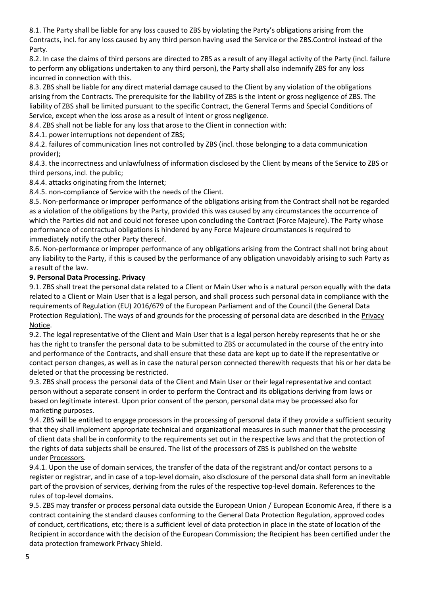8.1. The Party shall be liable for any loss caused to ZBS by violating the Party's obligations arising from the Contracts, incl. for any loss caused by any third person having used the Service or the ZBS.Control instead of the Party.

8.2. In case the claims of third persons are directed to ZBS as a result of any illegal activity of the Party (incl. failure to perform any obligations undertaken to any third person), the Party shall also indemnify ZBS for any loss incurred in connection with this.

8.3. ZBS shall be liable for any direct material damage caused to the Client by any violation of the obligations arising from the Contracts. The prerequisite for the liability of ZBS is the intent or gross negligence of ZBS. The liability of ZBS shall be limited pursuant to the specific Contract, the General Terms and Special Conditions of Service, except when the loss arose as a result of intent or gross negligence.

8.4. ZBS shall not be liable for any loss that arose to the Client in connection with:

8.4.1. power interruptions not dependent of ZBS;

8.4.2. failures of communication lines not controlled by ZBS (incl. those belonging to a data communication provider);

8.4.3. the incorrectness and unlawfulness of information disclosed by the Client by means of the Service to ZBS or third persons, incl. the public;

8.4.4. attacks originating from the Internet;

8.4.5. non-compliance of Service with the needs of the Client.

8.5. Non-performance or improper performance of the obligations arising from the Contract shall not be regarded as a violation of the obligations by the Party, provided this was caused by any circumstances the occurrence of which the Parties did not and could not foresee upon concluding the Contract (Force Majeure). The Party whose performance of contractual obligations is hindered by any Force Majeure circumstances is required to immediately notify the other Party thereof.

8.6. Non-performance or improper performance of any obligations arising from the Contract shall not bring about any liability to the Party, if this is caused by the performance of any obligation unavoidably arising to such Party as a result of the law.

## **9. Personal Data Processing. Privacy**

9.1. ZBS shall treat the personal data related to a Client or Main User who is a natural person equally with the data related to a Client or Main User that is a legal person, and shall process such personal data in compliance with the requirements of Regulation (EU) 2016/679 of the European Parliament and of the Council (the General Data Protection Regulation). The ways of and grounds for the processing of personal data are described in the Privacy [Notice.](https://zbs.cloud/)

9.2. The legal representative of the Client and Main User that is a legal person hereby represents that he or she has the right to transfer the personal data to be submitted to ZBS or accumulated in the course of the entry into and performance of the Contracts, and shall ensure that these data are kept up to date if the representative or contact person changes, as well as in case the natural person connected therewith requests that his or her data be deleted or that the processing be restricted.

9.3. ZBS shall process the personal data of the Client and Main User or their legal representative and contact person without a separate consent in order to perform the Contract and its obligations deriving from laws or based on legitimate interest. Upon prior consent of the person, personal data may be processed also for marketing purposes.

9.4. ZBS will be entitled to engage processors in the processing of personal data if they provide a sufficient security that they shall implement appropriate technical and organizational measures in such manner that the processing of client data shall be in conformity to the requirements set out in the respective laws and that the protection of the rights of data subjects shall be ensured. The list of the processors of ZBS is published on the website under [Processors.](https://zbd.cloud/)

9.4.1. Upon the use of domain services, the transfer of the data of the registrant and/or contact persons to a register or registrar, and in case of a top-level domain, also disclosure of the personal data shall form an inevitable part of the provision of services, deriving from the rules of the respective top-level domain. References to the rules of top-level domains.

9.5. ZBS may transfer or process personal data outside the European Union / European Economic Area, if there is a contract containing the standard clauses conforming to the General Data Protection Regulation, approved codes of conduct, certifications, etc; there is a sufficient level of data protection in place in the state of location of the Recipient in accordance with the decision of the European Commission; the Recipient has been certified under the data protection framework Privacy Shield.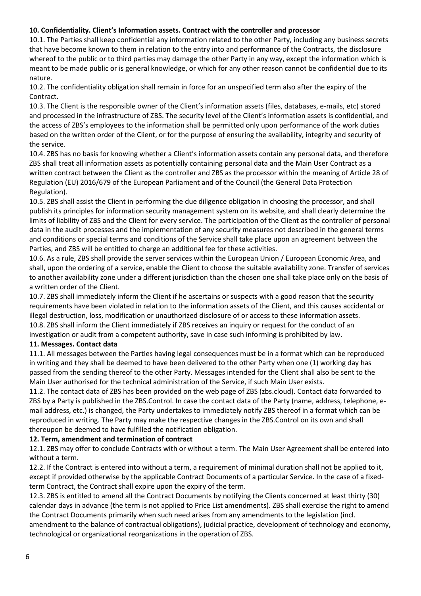## **10. Confidentiality. Client's Information assets. Contract with the controller and processor**

10.1. The Parties shall keep confidential any information related to the other Party, including any business secrets that have become known to them in relation to the entry into and performance of the Contracts, the disclosure whereof to the public or to third parties may damage the other Party in any way, except the information which is meant to be made public or is general knowledge, or which for any other reason cannot be confidential due to its nature.

10.2. The confidentiality obligation shall remain in force for an unspecified term also after the expiry of the Contract.

10.3. The Client is the responsible owner of the Client's information assets (files, databases, e-mails, etc) stored and processed in the infrastructure of ZBS. The security level of the Client's information assets is confidential, and the access of ZBS's employees to the information shall be permitted only upon performance of the work duties based on the written order of the Client, or for the purpose of ensuring the availability, integrity and security of the service.

10.4. ZBS has no basis for knowing whether a Client's information assets contain any personal data, and therefore ZBS shall treat all information assets as potentially containing personal data and the Main User Contract as a written contract between the Client as the controller and ZBS as the processor within the meaning of Article 28 of Regulation (EU) 2016/679 of the European Parliament and of the Council (the General Data Protection Regulation).

10.5. ZBS shall assist the Client in performing the due diligence obligation in choosing the processor, and shall publish its principles for information security management system on its website, and shall clearly determine the limits of liability of ZBS and the Client for every service. The participation of the Client as the controller of personal data in the audit processes and the implementation of any security measures not described in the general terms and conditions or special terms and conditions of the Service shall take place upon an agreement between the Parties, and ZBS will be entitled to charge an additional fee for these activities.

10.6. As a rule, ZBS shall provide the server services within the European Union / European Economic Area, and shall, upon the ordering of a service, enable the Client to choose the suitable availability zone. Transfer of services to another availability zone under a different jurisdiction than the chosen one shall take place only on the basis of a written order of the Client.

10.7. ZBS shall immediately inform the Client if he ascertains or suspects with a good reason that the security requirements have been violated in relation to the information assets of the Client, and this causes accidental or illegal destruction, loss, modification or unauthorized disclosure of or access to these information assets. 10.8. ZBS shall inform the Client immediately if ZBS receives an inquiry or request for the conduct of an investigation or audit from a competent authority, save in case such informing is prohibited by law.

## **11. Messages. Contact data**

11.1. All messages between the Parties having legal consequences must be in a format which can be reproduced in writing and they shall be deemed to have been delivered to the other Party when one (1) working day has passed from the sending thereof to the other Party. Messages intended for the Client shall also be sent to the Main User authorised for the technical administration of the Service, if such Main User exists.

11.2. The contact data of ZBS has been provided on the web page of ZBS (zbs.cloud). Contact data forwarded to ZBS by a Party is published in the ZBS.Control. In case the contact data of the Party (name, address, telephone, email address, etc.) is changed, the Party undertakes to immediately notify ZBS thereof in a format which can be reproduced in writing. The Party may make the respective changes in the ZBS.Control on its own and shall thereupon be deemed to have fulfilled the notification obligation.

## **12. Term, amendment and termination of contract**

12.1. ZBS may offer to conclude Contracts with or without a term. The Main User Agreement shall be entered into without a term.

12.2. If the Contract is entered into without a term, a requirement of minimal duration shall not be applied to it, except if provided otherwise by the applicable Contract Documents of a particular Service. In the case of a fixedterm Contract, the Contract shall expire upon the expiry of the term.

12.3. ZBS is entitled to amend all the Contract Documents by notifying the Clients concerned at least thirty (30) calendar days in advance (the term is not applied to Price List amendments). ZBS shall exercise the right to amend the Contract Documents primarily when such need arises from any amendments to the legislation (incl. amendment to the balance of contractual obligations), judicial practice, development of technology and economy, technological or organizational reorganizations in the operation of ZBS.